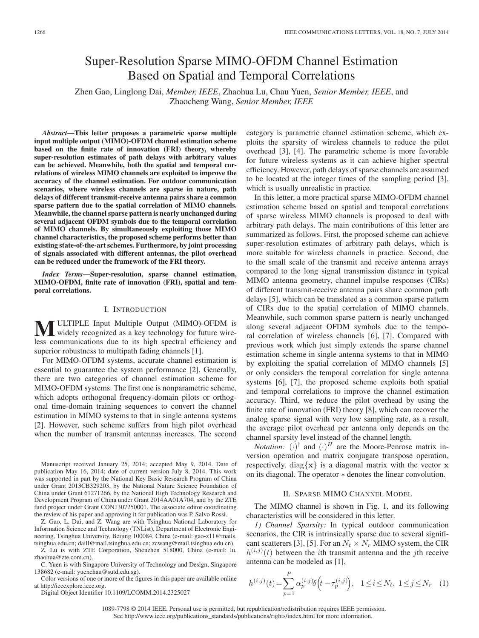# Super-Resolution Sparse MIMO-OFDM Channel Estimation Based on Spatial and Temporal Correlations

Zhen Gao, Linglong Dai, *Member, IEEE*, Zhaohua Lu, Chau Yuen, *Senior Member, IEEE*, and Zhaocheng Wang, *Senior Member, IEEE*

*Abstract***—This letter proposes a parametric sparse multiple input multiple output (MIMO)-OFDM channel estimation scheme based on the finite rate of innovation (FRI) theory, whereby super-resolution estimates of path delays with arbitrary values can be achieved. Meanwhile, both the spatial and temporal correlations of wireless MIMO channels are exploited to improve the accuracy of the channel estimation. For outdoor communication scenarios, where wireless channels are sparse in nature, path delays of different transmit-receive antenna pairs share a common sparse pattern due to the spatial correlation of MIMO channels. Meanwhile, the channel sparse pattern is nearly unchanged during several adjacent OFDM symbols due to the temporal correlation of MIMO channels. By simultaneously exploiting those MIMO channel characteristics, the proposed scheme performs better than existing state-of-the-art schemes. Furthermore, by joint processing of signals associated with different antennas, the pilot overhead can be reduced under the framework of the FRI theory.**

*Index Terms***—Super-resolution, sparse channel estimation, MIMO-OFDM, finite rate of innovation (FRI), spatial and temporal correlations.**

## I. INTRODUCTION

**M** ULTIPLE Input Multiple Output (MIMO)-OFDM is<br>widely recognized as a key technology for future wireless communications due to its high spectral efficiency and superior robustness to multipath fading channels [1].

For MIMO-OFDM systems, accurate channel estimation is essential to guarantee the system performance [2]. Generally, there are two categories of channel estimation scheme for MIMO-OFDM systems. The first one is nonparametric scheme, which adopts orthogonal frequency-domain pilots or orthogonal time-domain training sequences to convert the channel estimation in MIMO systems to that in single antenna systems [2]. However, such scheme suffers from high pilot overhead when the number of transmit antennas increases. The second

Manuscript received January 25, 2014; accepted May 9, 2014. Date of publication May 16, 2014; date of current version July 8, 2014. This work was supported in part by the National Key Basic Research Program of China under Grant 2013CB329203, by the National Nature Science Foundation of China under Grant 61271266, by the National High Technology Research and Development Program of China under Grant 2014AA01A704, and by the ZTE fund project under Grant CON1307250001. The associate editor coordinating the review of his paper and approving it for publication was P. Salvo Rossi.

Z. Gao, L. Dai, and Z. Wang are with Tsinghua National Laboratory for Information Science and Technology (TNList), Department of Electronic Engineering, Tsinghua University, Beijing 100084, China (e-mail: gao-z11@mails. tsinghua.edu.cn; daill@mail.tsinghua.edu.cn; zcwang@mail.tsinghua.edu.cn).

Z. Lu is with ZTE Corporation, Shenzhen 518000, China (e-mail: lu. zhaohua@zte.com.cn).

C. Yuen is with Singapore University of Technology and Design, Singapore 138682 (e-mail: yuenchau@sutd.edu.sg).

Color versions of one or more of the figures in this paper are available online at http://ieeexplore.ieee.org.

Digital Object Identifier 10.1109/LCOMM.2014.2325027

category is parametric channel estimation scheme, which exploits the sparsity of wireless channels to reduce the pilot overhead [3], [4]. The parametric scheme is more favorable for future wireless systems as it can achieve higher spectral efficiency. However, path delays of sparse channels are assumed to be located at the integer times of the sampling period [3], which is usually unrealistic in practice.

In this letter, a more practical sparse MIMO-OFDM channel estimation scheme based on spatial and temporal correlations of sparse wireless MIMO channels is proposed to deal with arbitrary path delays. The main contributions of this letter are summarized as follows. First, the proposed scheme can achieve super-resolution estimates of arbitrary path delays, which is more suitable for wireless channels in practice. Second, due to the small scale of the transmit and receive antenna arrays compared to the long signal transmission distance in typical MIMO antenna geometry, channel impulse responses (CIRs) of different transmit-receive antenna pairs share common path delays [5], which can be translated as a common sparse pattern of CIRs due to the spatial correlation of MIMO channels. Meanwhile, such common sparse pattern is nearly unchanged along several adjacent OFDM symbols due to the temporal correlation of wireless channels [6], [7]. Compared with previous work which just simply extends the sparse channel estimation scheme in single antenna systems to that in MIMO by exploiting the spatial correlation of MIMO channels [5] or only considers the temporal correlation for single antenna systems [6], [7], the proposed scheme exploits both spatial and temporal correlations to improve the channel estimation accuracy. Third, we reduce the pilot overhead by using the finite rate of innovation (FRI) theory [8], which can recover the analog sparse signal with very low sampling rate, as a result, the average pilot overhead per antenna only depends on the channel sparsity level instead of the channel length.

*Notation:*  $(\cdot)^{\dagger}$  and  $(\cdot)^{H}$  are the Moore-Penrose matrix inversion operation and matrix conjugate transpose operation, respectively. diag $\{x\}$  is a diagonal matrix with the vector **x** on its diagonal. The operator ∗ denotes the linear convolution.

## II. SPARSE MIMO CHANNEL MODEL

The MIMO channel is shown in Fig. 1, and its following characteristics will be considered in this letter.

*1) Channel Sparsity:* In typical outdoor communication scenarios, the CIR is intrinsically sparse due to several significant scatterers [3], [5]. For an  $N_t \times N_r$  MIMO system, the CIR  $h^{(i,j)}(t)$  between the *i*th transmit antenna and the *j*th receive antenna can be modeled as [1],

$$
h^{(i,j)}(t) = \sum_{p=1}^{P} \alpha_p^{(i,j)} \delta\left(t - \tau_p^{(i,j)}\right), \quad 1 \le i \le N_t, \ 1 \le j \le N_r \quad (1)
$$

1089-7798 © 2014 IEEE. Personal use is permitted, but republication/redistribution requires IEEE permission. See http://www.ieee.org/publications\_standards/publications/rights/index.html for more information.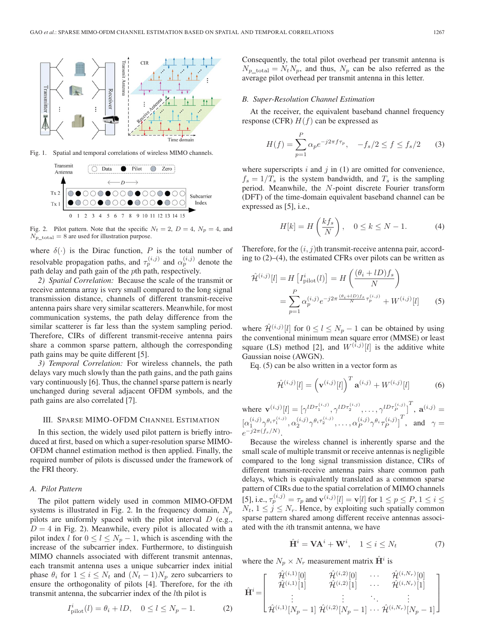

Fig. 1. Spatial and temporal correlations of wireless MIMO channels.



Fig. 2. Pilot pattern. Note that the specific  $N_t = 2$ ,  $D = 4$ ,  $N_p = 4$ , and  $N_{p{\_}total} = 8$  are used for illustration purpose.

where  $\delta(\cdot)$  is the Dirac function, P is the total number of resolvable propagation paths, and  $\tau_p^{(i,j)}$  and  $\alpha_p^{(i,j)}$  denote the path delay and path gain of the pth path, respectively.

*2) Spatial Correlation:* Because the scale of the transmit or receive antenna array is very small compared to the long signal transmission distance, channels of different transmit-receive antenna pairs share very similar scatterers. Meanwhile, for most communication systems, the path delay difference from the similar scatterer is far less than the system sampling period. Therefore, CIRs of different transmit-receive antenna pairs share a common sparse pattern, although the corresponding path gains may be quite different [5].

*3) Temporal Correlation:* For wireless channels, the path delays vary much slowly than the path gains, and the path gains vary continuously [6]. Thus, the channel sparse pattern is nearly unchanged during several adjacent OFDM symbols, and the path gains are also correlated [7].

# III. SPARSE MIMO-OFDM CHANNEL ESTIMATION

In this section, the widely used pilot pattern is briefly introduced at first, based on which a super-resolution sparse MIMO-OFDM channel estimation method is then applied. Finally, the required number of pilots is discussed under the framework of the FRI theory.

#### *A. Pilot Pattern*

The pilot pattern widely used in common MIMO-OFDM systems is illustrated in Fig. 2. In the frequency domain,  $N_p$ pilots are uniformly spaced with the pilot interval  $D$  (e.g.,  $D = 4$  in Fig. 2). Meanwhile, every pilot is allocated with a pilot index l for  $0 \le l \le N_p - 1$ , which is ascending with the increase of the subcarrier index. Furthermore, to distinguish MIMO channels associated with different transmit antennas, each transmit antenna uses a unique subcarrier index initial phase  $\theta_i$  for  $1 \leq i \leq N_t$  and  $(N_t - 1)N_p$  zero subcarriers to ensure the orthogonality of pilots [4]. Therefore, for the *i*th transmit antenna, the subcarrier index of the lth pilot is

$$
I_{\text{pilot}}^i(l) = \theta_i + lD, \quad 0 \le l \le N_p - 1. \tag{2}
$$

Consequently, the total pilot overhead per transmit antenna is  $N_p$ <sub>total</sub> =  $N_tN_p$ , and thus,  $N_p$  can be also referred as the average pilot overhead per transmit antenna in this letter.

#### *B. Super-Resolution Channel Estimation*

At the receiver, the equivalent baseband channel frequency response (CFR)  $H(f)$  can be expressed as

$$
H(f) = \sum_{p=1}^{P} \alpha_p e^{-j2\pi f \tau_p}, \quad -f_s/2 \le f \le f_s/2 \tag{3}
$$

where superscripts  $i$  and  $j$  in (1) are omitted for convenience,  $f_s = 1/T_s$  is the system bandwidth, and  $T_s$  is the sampling period. Meanwhile, the N-point discrete Fourier transform (DFT) of the time-domain equivalent baseband channel can be expressed as [5], i.e.,

$$
H[k] = H\left(\frac{kf_s}{N}\right), \quad 0 \le k \le N - 1. \tag{4}
$$

Therefore, for the  $(i, j)$ th transmit-receive antenna pair, according to (2)–(4), the estimated CFRs over pilots can be written as

$$
\hat{\mathcal{H}}^{(i,j)}[l] = H\left[I_{\text{pilot}}^i(l)\right] = H\left(\frac{(\theta_i + lD)f_s}{N}\right)
$$

$$
= \sum_{p=1}^P \alpha_p^{(i,j)} e^{-j2\pi \frac{(\theta_i + lD)f_s}{N} \tau_p^{(i,j)}} + W^{(i,j)}[l] \tag{5}
$$

where  $\hat{\mathcal{H}}^{(i,j)}[l]$  for  $0 \le l \le N_p - 1$  can be obtained by using the conventional minimum mean square error (MMSE) or least square (LS) method [2], and  $W^{(i,j)}[l]$  is the additive white Gaussian noise (AWGN).

Eq. (5) can be also written in a vector form as

$$
\hat{\mathcal{H}}^{(i,j)}[l] = \left(\mathbf{v}^{(i,j)}[l]\right)^T \mathbf{a}^{(i,j)} + W^{(i,j)}[l] \tag{6}
$$

where  $\mathbf{v}^{(i,j)}[l] = [\gamma^{lD\tau_1^{(i,j)}}, \gamma^{lD\tau_2^{(i,j)}}, \dots, \gamma^{lD\tau_P^{(i,j)}}]^T$ ,  $\mathbf{a}^{(i,j)} =$  $\big[\alpha_1^{(i,j)}\gamma^{\theta_i\tau_1^{(i,j)}},\alpha_2^{(i,j)}\gamma^{\theta_i\tau_2^{(i,j)}},\dots,\alpha_P^{(i,j)}\gamma^{\theta_i\tau_P^{(i,j)}}\big]^T, \text{ and } \gamma=$  $e^{-j2\pi(f_s/N)}$ .

Because the wireless channel is inherently sparse and the small scale of multiple transmit or receive antennas is negligible compared to the long signal transmission distance, CIRs of different transmit-receive antenna pairs share common path delays, which is equivalently translated as a common sparse pattern of CIRs due to the spatial correlation of MIMO channels [5], i.e.,  $\tau_p^{(i,j)} = \tau_p$  and  $\mathbf{v}^{(i,j)}[l] = \mathbf{v}[l]$  for  $1 \le p \le P, 1 \le i \le \tau$  $N_t$ ,  $1 \le j \le N_r$ . Hence, by exploiting such spatially common sparse pattern shared among different receive antennas associated with the ith transmit antenna, we have

$$
\hat{\mathbf{H}}^i = \mathbf{V} \mathbf{A}^i + \mathbf{W}^i, \quad 1 \le i \le N_t \tag{7}
$$

where the  $N_p \times N_r$  measurement matrix  $\mathbf{H}^i$  is

$$
\hat{\mathbf{H}}^{i} = \begin{bmatrix} \hat{\mathcal{H}}^{(i,1)}[0] & \hat{\mathcal{H}}^{(i,2)}[0] & \cdots & \hat{\mathcal{H}}^{(i,N_r)}[0] \\ \hat{\mathcal{H}}^{(i,1)}[1] & \hat{\mathcal{H}}^{(i,2)}[1] & \cdots & \hat{\mathcal{H}}^{(i,N_r)}[1] \\ \vdots & \vdots & \ddots & \vdots \\ \hat{\mathcal{H}}^{(i,1)}[N_p-1] & \hat{\mathcal{H}}^{(i,2)}[N_p-1] & \cdots & \hat{\mathcal{H}}^{(i,N_r)}[N_p-1] \end{bmatrix}
$$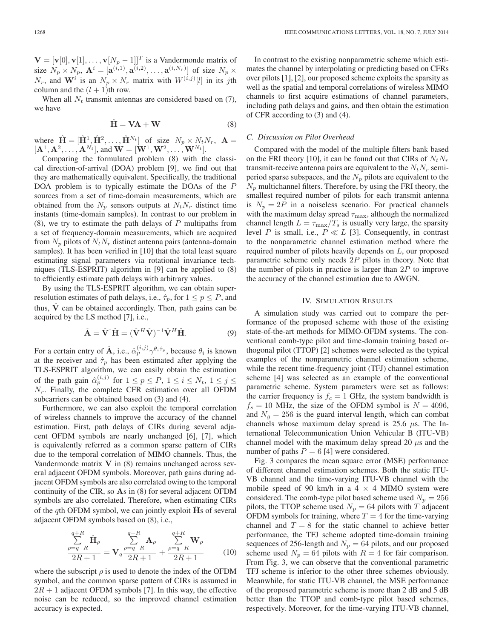$\mathbf{V} = [\mathbf{v}[0], \mathbf{v}[1], \dots, \mathbf{v}[N_p-1]]^T$  is a Vandermonde matrix of size  $N_p \times N_p$ ,  $\mathbf{A}^i = [\mathbf{a}^{(i,1)}, \mathbf{a}^{(i,2)}, \dots, \mathbf{a}^{(i,N_r)}]$  of size  $N_p \times$  $N_r$ , and  $\mathbf{W}^i$  is an  $N_p \times N_r$  matrix with  $W^{(i,j)}[l]$  in its jth column and the  $(l + 1)$ th row.

When all  $N_t$  transmit antennas are considered based on (7), we have

$$
\hat{H} = VA + W \tag{8}
$$

where  $\hat{\mathbf{H}} = [\hat{\mathbf{H}}^1, \hat{\mathbf{H}}^2, \dots, \hat{\mathbf{H}}^{N_t}]$  of size  $N_p \times N_t N_r$ ,  $\mathbf{A} =$  $[{\bf A}^1, {\bf A}^2, \dots, {\bf A}^{N_t}],$  and  ${\bf W} = [{\bf W}^1, {\bf W}^2, \dots, {\bf W}^{N_t}].$ 

Comparing the formulated problem (8) with the classical direction-of-arrival (DOA) problem [9], we find out that they are mathematically equivalent. Specifically, the traditional DOA problem is to typically estimate the DOAs of the P sources from a set of time-domain measurements, which are obtained from the  $N_p$  sensors outputs at  $N_tN_r$  distinct time instants (time-domain samples). In contrast to our problem in  $(8)$ , we try to estimate the path delays of P multipaths from a set of frequency-domain measurements, which are acquired from  $N_p$  pilots of  $N_tN_r$  distinct antenna pairs (antenna-domain samples). It has been verified in [10] that the total least square estimating signal parameters via rotational invariance techniques (TLS-ESPRIT) algorithm in [9] can be applied to (8) to efficiently estimate path delays with arbitrary values.

By using the TLS-ESPRIT algorithm, we can obtain superresolution estimates of path delays, i.e.,  $\hat{\tau}_p$ , for  $1 \leq p \leq P$ , and thus,  $\dot{V}$  can be obtained accordingly. Then, path gains can be acquired by the LS method [7], i.e.,

$$
\hat{\mathbf{A}} = \hat{\mathbf{V}}^{\dagger} \hat{\mathbf{H}} = (\hat{\mathbf{V}}^H \hat{\mathbf{V}})^{-1} \hat{\mathbf{V}}^H \hat{\mathbf{H}}.
$$
 (9)

For a certain entry of  $\hat{A}$ , i.e.,  $\hat{\alpha}_p^{(i,j)} \gamma^{\theta_i \hat{\tau}_p}$ , because  $\theta_i$  is known at the receiver and  $\hat{\tau}_p$  has been estimated after applying the TLS-ESPRIT algorithm, we can easily obtain the estimation of the path gain  $\hat{\alpha}_p^{(i,j)}$  for  $1 \le p \le P$ ,  $1 \le i \le N_t$ ,  $1 \le j \le T$  $N_r$ . Finally, the complete CFR estimation over all OFDM subcarriers can be obtained based on (3) and (4).

Furthermore, we can also exploit the temporal correlation of wireless channels to improve the accuracy of the channel estimation. First, path delays of CIRs during several adjacent OFDM symbols are nearly unchanged [6], [7], which is equivalently referred as a common sparse pattern of CIRs due to the temporal correlation of MIMO channels. Thus, the Vandermonde matrix **V** in (8) remains unchanged across several adjacent OFDM symbols. Moreover, path gains during adjacent OFDM symbols are also correlated owing to the temporal continuity of the CIR, so **A**s in (8) for several adjacent OFDM symbols are also correlated. Therefore, when estimating CIRs of the qth OFDM symbol, we can jointly exploit **H**s of several adjacent OFDM symbols based on (8), i.e.,

$$
\frac{\sum_{\rho=q-R}^{q+R} \hat{\mathbf{H}}_{\rho}}{2R+1} = \mathbf{V}_{q} \frac{\sum_{\rho=q-R}^{q+R} \mathbf{A}_{\rho}}{2R+1} + \frac{\sum_{\rho=q-R}^{q+R} \mathbf{W}_{\rho}}{2R+1}
$$
(10)

where the subscript  $\rho$  is used to denote the index of the OFDM symbol, and the common sparse pattern of CIRs is assumed in  $2R + 1$  adjacent OFDM symbols [7]. In this way, the effective noise can be reduced, so the improved channel estimation accuracy is expected.

In contrast to the existing nonparametric scheme which estimates the channel by interpolating or predicting based on CFRs over pilots [1], [2], our proposed scheme exploits the sparsity as well as the spatial and temporal correlations of wireless MIMO channels to first acquire estimations of channel parameters, including path delays and gains, and then obtain the estimation of CFR according to (3) and (4).

# *C. Discussion on Pilot Overhead*

Compared with the model of the multiple filters bank based on the FRI theory [10], it can be found out that CIRs of  $N_tN_r$ transmit-receive antenna pairs are equivalent to the  $N_tN_r$  semiperiod sparse subspaces, and the  $N_p$  pilots are equivalent to the  $N_p$  multichannel filters. Therefore, by using the FRI theory, the smallest required number of pilots for each transmit antenna is  $N_p = 2P$  in a noiseless scenario. For practical channels with the maximum delay spread  $\tau_{\rm max}$  , although the normalized channel length  $L = \tau_{\text{max}}/T_s$  is usually very large, the sparsity level P is small, i.e.,  $P \ll L$  [3]. Consequently, in contrast to the nonparametric channel estimation method where the required number of pilots heavily depends on L, our proposed parametric scheme only needs  $2P$  pilots in theory. Note that the number of pilots in practice is larger than  $2P$  to improve the accuracy of the channel estimation due to AWGN.

## IV. SIMULATION RESULTS

A simulation study was carried out to compare the performance of the proposed scheme with those of the existing state-of-the-art methods for MIMO-OFDM systems. The conventional comb-type pilot and time-domain training based orthogonal pilot (TTOP) [2] schemes were selected as the typical examples of the nonparametric channel estimation scheme, while the recent time-frequency joint (TFJ) channel estimation scheme [4] was selected as an example of the conventional parametric scheme. System parameters were set as follows: the carrier frequency is  $f_c = 1$  GHz, the system bandwidth is  $f_s = 10$  MHz, the size of the OFDM symbol is  $N = 4096$ , and  $N_q = 256$  is the guard interval length, which can combat channels whose maximum delay spread is 25.6  $\mu$ s. The International Telecommunication Union Vehicular B (ITU-VB) channel model with the maximum delay spread 20  $\mu$ s and the number of paths  $P = 6$  [4] were considered.

Fig. 3 compares the mean square error (MSE) performance of different channel estimation schemes. Both the static ITU-VB channel and the time-varying ITU-VB channel with the mobile speed of 90 km/h in a 4  $\times$  4 MIMO system were considered. The comb-type pilot based scheme used  $N_p = 256$ pilots, the TTOP scheme used  $N_p = 64$  pilots with T adjacent OFDM symbols for training, where  $T = 4$  for the time-varying channel and  $T = 8$  for the static channel to achieve better performance, the TFJ scheme adopted time-domain training sequences of 256-length and  $N_p = 64$  pilots, and our proposed scheme used  $N_p = 64$  pilots with  $R = 4$  for fair comparison. From Fig. 3, we can observe that the conventional parametric TFJ scheme is inferior to the other three schemes obviously. Meanwhile, for static ITU-VB channel, the MSE performance of the proposed parametric scheme is more than 2 dB and 5 dB better than the TTOP and comb-type pilot based schemes, respectively. Moreover, for the time-varying ITU-VB channel,